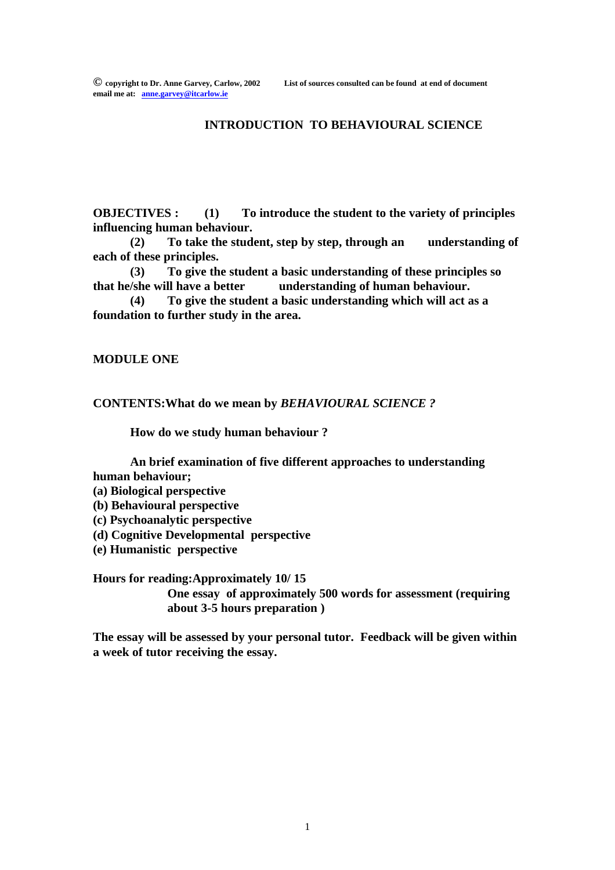#### **INTRODUCTION TO BEHAVIOURAL SCIENCE**

**OBJECTIVES : (1) To introduce the student to the variety of principles influencing human behaviour.**

**(2) To take the student, step by step, through an understanding of each of these principles.**

**(3) To give the student a basic understanding of these principles so that he/she will have a better understanding of human behaviour.** 

**(4) To give the student a basic understanding which will act as a foundation to further study in the area.**

**MODULE ONE**

**CONTENTS:What do we mean by** *BEHAVIOURAL SCIENCE ?*

**How do we study human behaviour ?**

**An brief examination of five different approaches to understanding human behaviour;**

- **(a) Biological perspective**
- **(b) Behavioural perspective**
- **(c) Psychoanalytic perspective**
- **(d) Cognitive Developmental perspective**
- **(e) Humanistic perspective**

**Hours for reading:Approximately 10/ 15 One essay of approximately 500 words for assessment (requiring about 3-5 hours preparation )**

**The essay will be assessed by your personal tutor. Feedback will be given within a week of tutor receiving the essay.**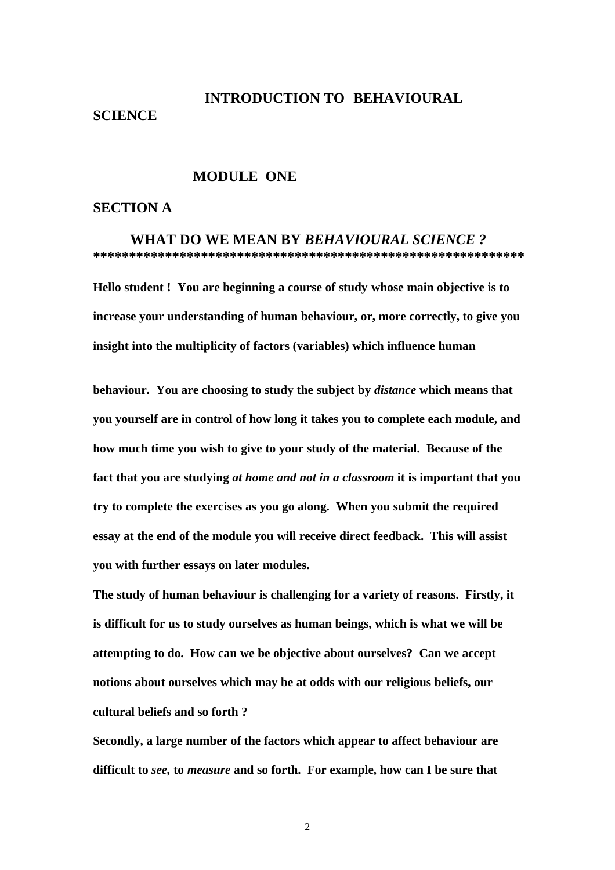#### **SCIENCE**

# **INTRODUCTION TO BEHAVIOURAL**

#### **MODULE ONE**

#### **SECTION A**

 **WHAT DO WE MEAN BY** *BEHAVIOURAL SCIENCE ?* **\*\*\*\*\*\*\*\*\*\*\*\*\*\*\*\*\*\*\*\*\*\*\*\*\*\*\*\*\*\*\*\*\*\*\*\*\*\*\*\*\*\*\*\*\*\*\*\*\*\*\*\*\*\*\*\*\*\*\*\***

**Hello student ! You are beginning a course of study whose main objective is to increase your understanding of human behaviour, or, more correctly, to give you insight into the multiplicity of factors (variables) which influence human** 

**behaviour. You are choosing to study the subject by** *distance* **which means that you yourself are in control of how long it takes you to complete each module, and how much time you wish to give to your study of the material. Because of the fact that you are studying** *at home and not in a classroom* **it is important that you try to complete the exercises as you go along. When you submit the required essay at the end of the module you will receive direct feedback. This will assist you with further essays on later modules.** 

**The study of human behaviour is challenging for a variety of reasons. Firstly, it is difficult for us to study ourselves as human beings, which is what we will be attempting to do. How can we be objective about ourselves? Can we accept notions about ourselves which may be at odds with our religious beliefs, our cultural beliefs and so forth ?**

**Secondly, a large number of the factors which appear to affect behaviour are difficult to** *see,* **to** *measure* **and so forth. For example, how can I be sure that** 

2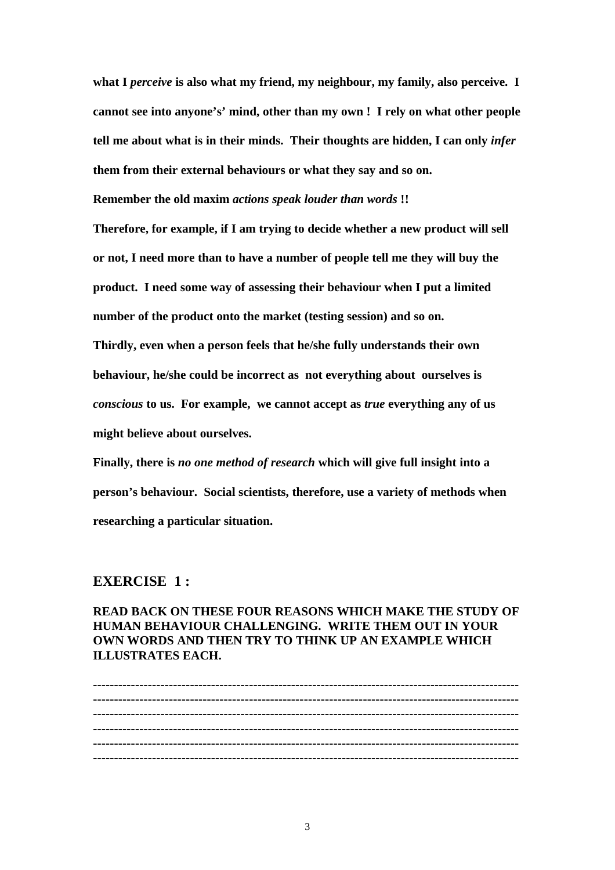**what I** *perceive* **is also what my friend, my neighbour, my family, also perceive. I cannot see into anyone's' mind, other than my own ! I rely on what other people tell me about what is in their minds. Their thoughts are hidden, I can only** *infer*  **them from their external behaviours or what they say and so on.**

**Remember the old maxim** *actions speak louder than words* **!!**

**Therefore, for example, if I am trying to decide whether a new product will sell or not, I need more than to have a number of people tell me they will buy the product. I need some way of assessing their behaviour when I put a limited number of the product onto the market (testing session) and so on. Thirdly, even when a person feels that he/she fully understands their own behaviour, he/she could be incorrect as not everything about ourselves is**  *conscious* **to us. For example, we cannot accept as** *true* **everything any of us might believe about ourselves.**

**Finally, there is** *no one method of research* **which will give full insight into a person's behaviour. Social scientists, therefore, use a variety of methods when researching a particular situation.** 

#### **EXERCISE 1 :**

**READ BACK ON THESE FOUR REASONS WHICH MAKE THE STUDY OF HUMAN BEHAVIOUR CHALLENGING. WRITE THEM OUT IN YOUR OWN WORDS AND THEN TRY TO THINK UP AN EXAMPLE WHICH ILLUSTRATES EACH.**

**----------------------------------------------------------------------------------------------------- ----------------------------------------------------------------------------------------------------- ----------------------------------------------------------------------------------------------------- ----------------------------------------------------------------------------------------------------- ----------------------------------------------------------------------------------------------------- -----------------------------------------------------------------------------------------------------**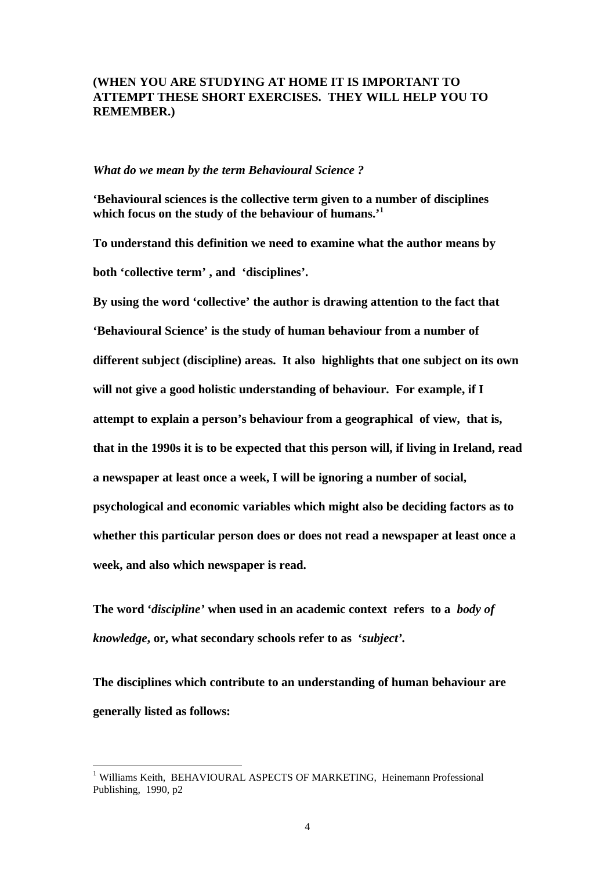#### **(WHEN YOU ARE STUDYING AT HOME IT IS IMPORTANT TO ATTEMPT THESE SHORT EXERCISES. THEY WILL HELP YOU TO REMEMBER.)**

#### *What do we mean by the term Behavioural Science ?*

**'Behavioural sciences is the collective term given to a number of disciplines which focus on the study of the behaviour of humans.'<sup>1</sup>**

**To understand this definition we need to examine what the author means by both 'collective term' , and 'disciplines'.** 

**By using the word 'collective' the author is drawing attention to the fact that 'Behavioural Science' is the study of human behaviour from a number of different subject (discipline) areas. It also highlights that one subject on its own will not give a good holistic understanding of behaviour. For example, if I attempt to explain a person's behaviour from a geographical of view, that is, that in the 1990s it is to be expected that this person will, if living in Ireland, read a newspaper at least once a week, I will be ignoring a number of social, psychological and economic variables which might also be deciding factors as to whether this particular person does or does not read a newspaper at least once a week, and also which newspaper is read.**

**The word '***discipline'* **when used in an academic context refers to a** *body of knowledge***, or, what secondary schools refer to as '***subject'.* 

**The disciplines which contribute to an understanding of human behaviour are generally listed as follows:**

<sup>&</sup>lt;sup>1</sup> Williams Keith, BEHAVIOURAL ASPECTS OF MARKETING, Heinemann Professional Publishing, 1990, p2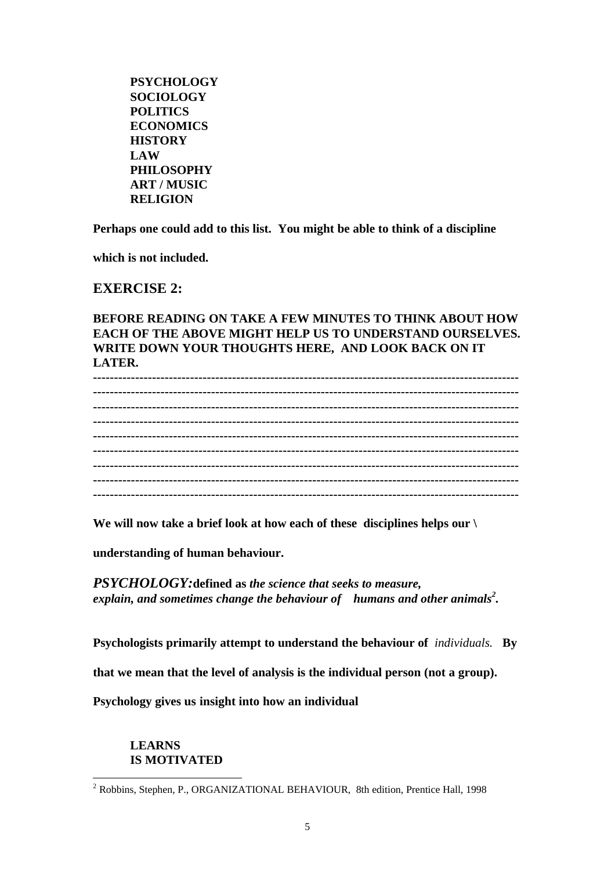**PSYCHOLOGY SOCIOLOGY POLITICS ECONOMICS HISTORY LAW PHILOSOPHY ART / MUSIC RELIGION**

**Perhaps one could add to this list. You might be able to think of a discipline** 

**which is not included.**

**EXERCISE 2:**

#### **BEFORE READING ON TAKE A FEW MINUTES TO THINK ABOUT HOW EACH OF THE ABOVE MIGHT HELP US TO UNDERSTAND OURSELVES. WRITE DOWN YOUR THOUGHTS HERE, AND LOOK BACK ON IT LATER.**

**----------------------------------------------------------------------------------------------------- ----------------------------------------------------------------------------------------------------- ----------------------------------------------------------------------------------------------------- ----------------------------------------------------------------------------------------------------- ----------------------------------------------------------------------------------------------------- ----------------------------------------------------------------------------------------------------- ----------------------------------------------------------------------------------------------------- ----------------------------------------------------------------------------------------------------- -----------------------------------------------------------------------------------------------------**

**We will now take a brief look at how each of these disciplines helps our \**

**understanding of human behaviour.**

*PSYCHOLOGY:***defined as** *the science that seeks to measure, explain, and sometimes change the behaviour of humans and other animals<sup>2</sup> .* 

**Psychologists primarily attempt to understand the behaviour of** *individuals.* **By** 

**that we mean that the level of analysis is the individual person (not a group).** 

**Psychology gives us insight into how an individual** 

### **LEARNS IS MOTIVATED**

<sup>&</sup>lt;sup>2</sup> Robbins, Stephen, P., ORGANIZATIONAL BEHAVIOUR, 8th edition, Prentice Hall, 1998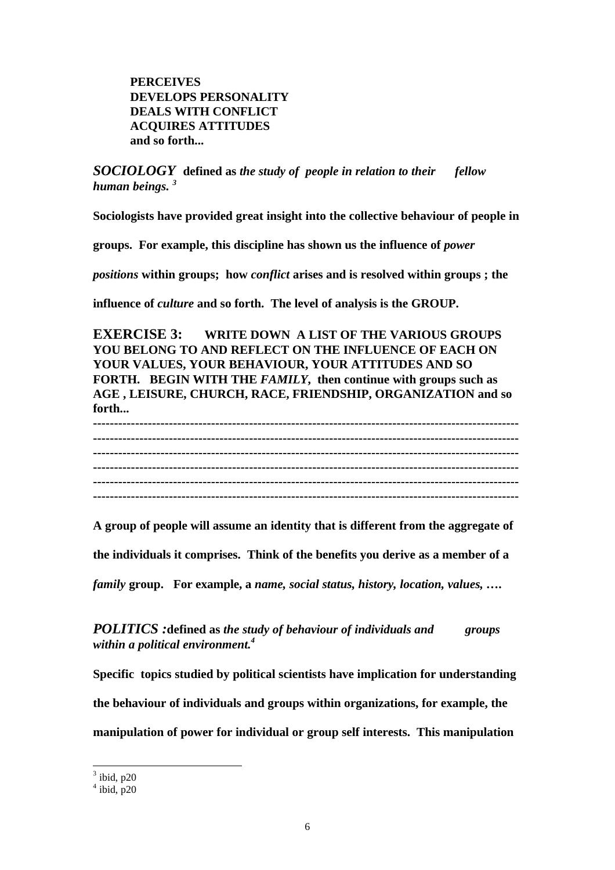**PERCEIVES DEVELOPS PERSONALITY DEALS WITH CONFLICT ACQUIRES ATTITUDES and so forth...**

*SOCIOLOGY* **defined as** *the study of people in relation to their fellow human beings. <sup>3</sup>*

**Sociologists have provided great insight into the collective behaviour of people in** 

**groups. For example, this discipline has shown us the influence of** *power* 

*positions* **within groups; how** *conflict* **arises and is resolved within groups ; the** 

**influence of** *culture* **and so forth. The level of analysis is the GROUP.**

**EXERCISE 3: WRITE DOWN A LIST OF THE VARIOUS GROUPS YOU BELONG TO AND REFLECT ON THE INFLUENCE OF EACH ON YOUR VALUES, YOUR BEHAVIOUR, YOUR ATTITUDES AND SO FORTH. BEGIN WITH THE** *FAMILY***, then continue with groups such as AGE , LEISURE, CHURCH, RACE, FRIENDSHIP, ORGANIZATION and so forth...** 

**----------------------------------------------------------------------------------------------------- ----------------------------------------------------------------------------------------------------- ----------------------------------------------------------------------------------------------------- ----------------------------------------------------------------------------------------------------- ----------------------------------------------------------------------------------------------------- -----------------------------------------------------------------------------------------------------**

**A group of people will assume an identity that is different from the aggregate of** 

**the individuals it comprises. Think of the benefits you derive as a member of a** 

*family* **group. For example, a** *name, social status, history, location, values, ….*

*POLITICS :***defined as** *the study of behaviour of individuals and groups within a political environment.<sup>4</sup>*

**Specific topics studied by political scientists have implication for understanding the behaviour of individuals and groups within organizations, for example, the manipulation of power for individual or group self interests. This manipulation** 

 $3$  ibid, p20

 $4$  ibid, p20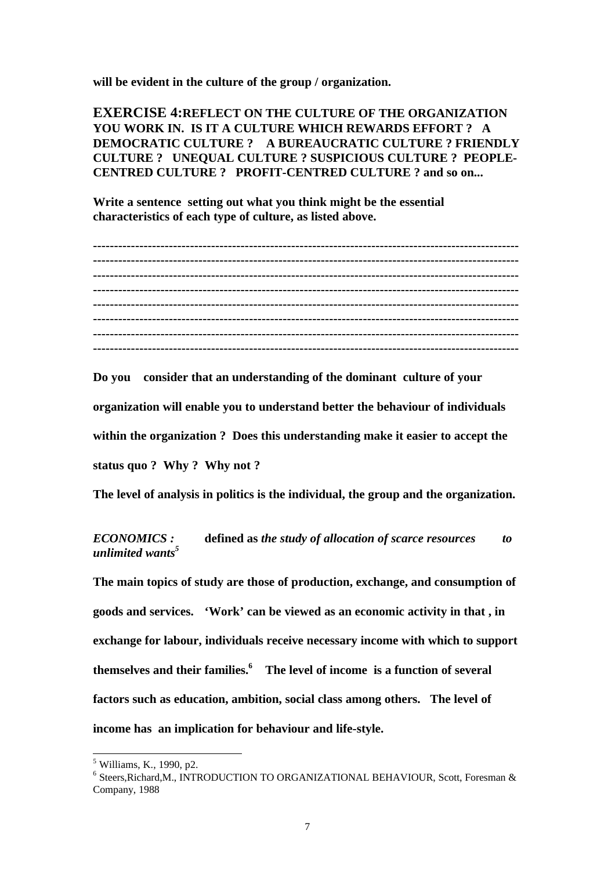**will be evident in the culture of the group / organization.**

**EXERCISE 4:REFLECT ON THE CULTURE OF THE ORGANIZATION YOU WORK IN. IS IT A CULTURE WHICH REWARDS EFFORT ? A DEMOCRATIC CULTURE ? A BUREAUCRATIC CULTURE ? FRIENDLY CULTURE ? UNEQUAL CULTURE ? SUSPICIOUS CULTURE ? PEOPLE-CENTRED CULTURE ? PROFIT-CENTRED CULTURE ? and so on...**

**Write a sentence setting out what you think might be the essential characteristics of each type of culture, as listed above.** 

**----------------------------------------------------------------------------------------------------- ----------------------------------------------------------------------------------------------------- ----------------------------------------------------------------------------------------------------- ----------------------------------------------------------------------------------------------------- ----------------------------------------------------------------------------------------------------- ----------------------------------------------------------------------------------------------------- ----------------------------------------------------------------------------------------------------- -----------------------------------------------------------------------------------------------------**

**Do you consider that an understanding of the dominant culture of your** 

**organization will enable you to understand better the behaviour of individuals** 

**within the organization ? Does this understanding make it easier to accept the** 

**status quo ? Why ? Why not ?**

**The level of analysis in politics is the individual, the group and the organization.**

*ECONOMICS :* **defined as** *the study of allocation of scarce resources to unlimited wants<sup>5</sup>*

**The main topics of study are those of production, exchange, and consumption of goods and services. 'Work' can be viewed as an economic activity in that , in exchange for labour, individuals receive necessary income with which to support themselves and their families.<sup>6</sup> The level of income is a function of several factors such as education, ambition, social class among others. The level of income has an implication for behaviour and life-style.**

<sup>&</sup>lt;sup>5</sup> Williams, K., 1990, p2.

 $^6$  Steers, Richard, M., INTRODUCTION TO ORGANIZATIONAL BEHAVIOUR, Scott, Foresman  $\&$ Company, 1988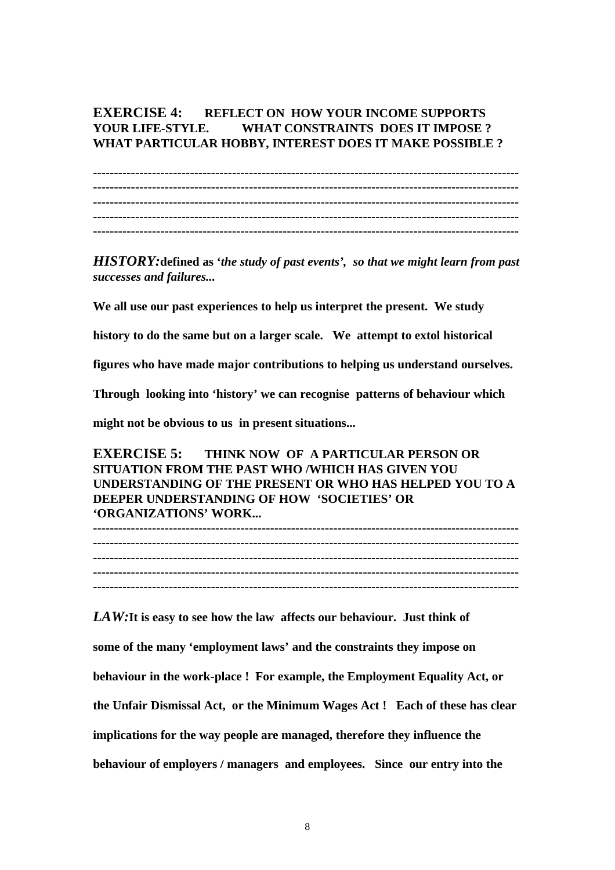### **EXERCISE 4: REFLECT ON HOW YOUR INCOME SUPPORTS YOUR LIFE-STYLE. WHAT CONSTRAINTS DOES IT IMPOSE ? WHAT PARTICULAR HOBBY, INTEREST DOES IT MAKE POSSIBLE ?**

**----------------------------------------------------------------------------------------------------- ----------------------------------------------------------------------------------------------------- ----------------------------------------------------------------------------------------------------- ----------------------------------------------------------------------------------------------------- -----------------------------------------------------------------------------------------------------**

*HISTORY:***defined as '***the study of past events', so that we might learn from past successes and failures...*

**We all use our past experiences to help us interpret the present. We study** 

**history to do the same but on a larger scale. We attempt to extol historical** 

**figures who have made major contributions to helping us understand ourselves.** 

**Through looking into 'history' we can recognise patterns of behaviour which** 

**might not be obvious to us in present situations...**

**EXERCISE 5: THINK NOW OF A PARTICULAR PERSON OR SITUATION FROM THE PAST WHO /WHICH HAS GIVEN YOU UNDERSTANDING OF THE PRESENT OR WHO HAS HELPED YOU TO A DEEPER UNDERSTANDING OF HOW 'SOCIETIES' OR 'ORGANIZATIONS' WORK...**

**----------------------------------------------------------------------------------------------------- ----------------------------------------------------------------------------------------------------- ----------------------------------------------------------------------------------------------------- ----------------------------------------------------------------------------------------------------- -----------------------------------------------------------------------------------------------------**

*LAW:***It is easy to see how the law affects our behaviour. Just think of some of the many 'employment laws' and the constraints they impose on behaviour in the work-place ! For example, the Employment Equality Act, or the Unfair Dismissal Act, or the Minimum Wages Act ! Each of these has clear implications for the way people are managed, therefore they influence the behaviour of employers / managers and employees. Since our entry into the**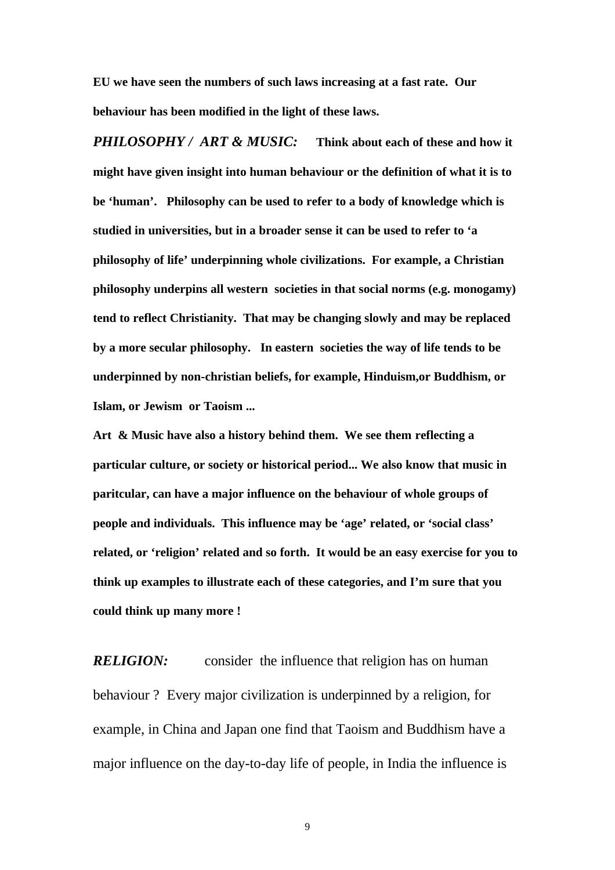**EU we have seen the numbers of such laws increasing at a fast rate. Our behaviour has been modified in the light of these laws.**

*PHILOSOPHY / ART & MUSIC:* **Think about each of these and how it might have given insight into human behaviour or the definition of what it is to be 'human'. Philosophy can be used to refer to a body of knowledge which is studied in universities, but in a broader sense it can be used to refer to 'a philosophy of life' underpinning whole civilizations. For example, a Christian philosophy underpins all western societies in that social norms (e.g. monogamy) tend to reflect Christianity. That may be changing slowly and may be replaced by a more secular philosophy. In eastern societies the way of life tends to be underpinned by non-christian beliefs, for example, Hinduism,or Buddhism, or Islam, or Jewism or Taoism ...**

**Art & Music have also a history behind them. We see them reflecting a particular culture, or society or historical period... We also know that music in paritcular, can have a major influence on the behaviour of whole groups of people and individuals. This influence may be 'age' related, or 'social class' related, or 'religion' related and so forth. It would be an easy exercise for you to think up examples to illustrate each of these categories, and I'm sure that you could think up many more !**

*RELIGION:* consider the influence that religion has on human behaviour ? Every major civilization is underpinned by a religion, for example, in China and Japan one find that Taoism and Buddhism have a major influence on the day-to-day life of people, in India the influence is

9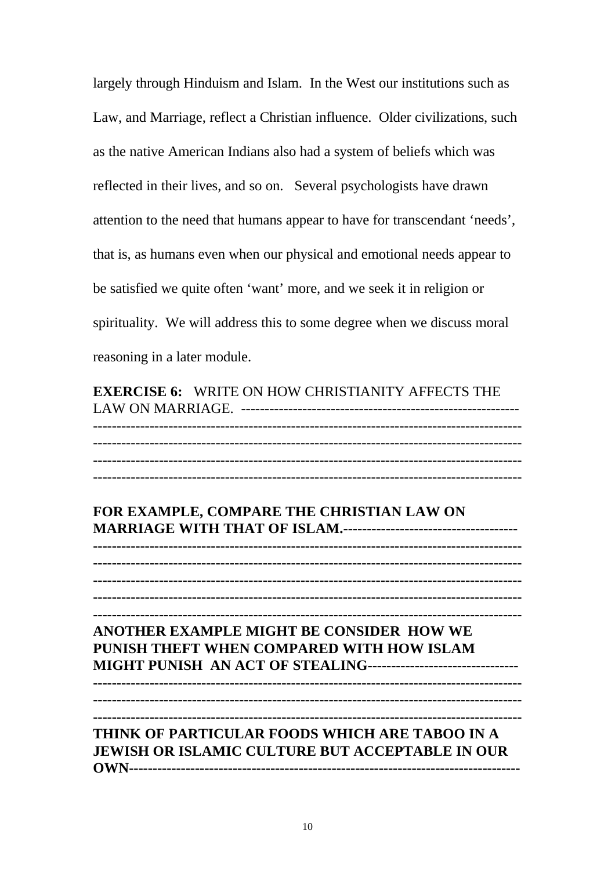largely through Hinduism and Islam. In the West our institutions such as Law, and Marriage, reflect a Christian influence. Older civilizations, such as the native American Indians also had a system of beliefs which was reflected in their lives, and so on. Several psychologists have drawn attention to the need that humans appear to have for transcendant 'needs', that is, as humans even when our physical and emotional needs appear to be satisfied we quite often 'want' more, and we seek it in religion or spirituality. We will address this to some degree when we discuss moral reasoning in a later module.

**EXERCISE 6:** WRITE ON HOW CHRISTIANITY AFFECTS THE LAW ON MARRIAGE. ----------------------------------------------------------- ------------------------------------------------------------------------------------------- ------------------------------------------------------------------------------------------- ------------------------------------------------------------------------------------------- -------------------------------------------------------------------------------------------

**FOR EXAMPLE, COMPARE THE CHRISTIAN LAW ON MARRIAGE WITH THAT OF ISLAM.------------------------------------- ------------------------------------------------------------------------------------------- ------------------------------------------------------------------------------------------- ------------------------------------------------------------------------------------------- ------------------------------------------------------------------------------------------- ------------------------------------------------------------------------------------------- ANOTHER EXAMPLE MIGHT BE CONSIDER HOW WE PUNISH THEFT WHEN COMPARED WITH HOW ISLAM MIGHT PUNISH AN ACT OF STEALING----------------------------------------------------------------------------------------------------------------------------- ------------------------------------------------------------------------------------------- ------------------------------------------------------------------------------------------- THINK OF PARTICULAR FOODS WHICH ARE TABOO IN A JEWISH OR ISLAMIC CULTURE BUT ACCEPTABLE IN OUR OWN-----------------------------------------------------------------------------------**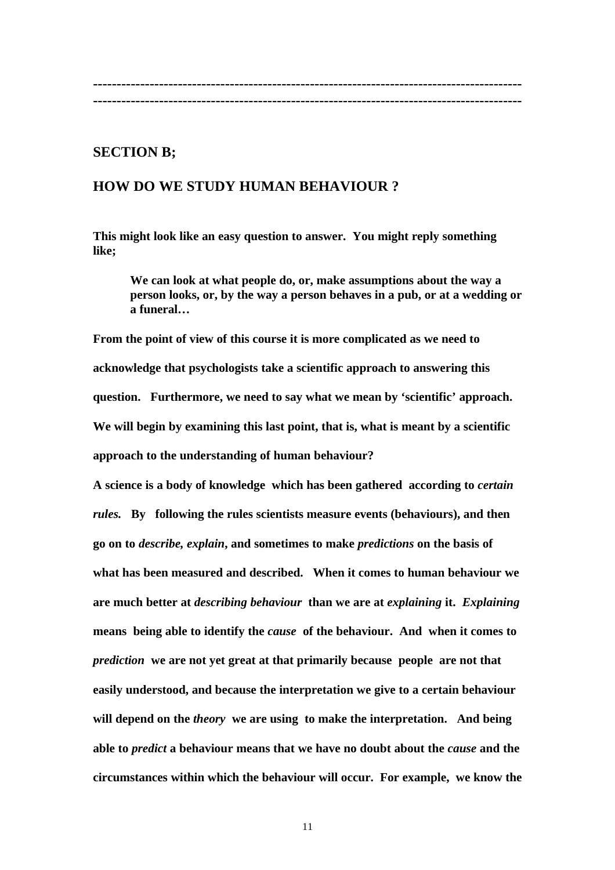#### **------------------------------------------------------------------------------------------- -------------------------------------------------------------------------------------------**

## **SECTION B;**

## **HOW DO WE STUDY HUMAN BEHAVIOUR ?**

**This might look like an easy question to answer. You might reply something like;**

**We can look at what people do, or, make assumptions about the way a person looks, or, by the way a person behaves in a pub, or at a wedding or a funeral…**

**From the point of view of this course it is more complicated as we need to acknowledge that psychologists take a scientific approach to answering this question. Furthermore, we need to say what we mean by 'scientific' approach. We will begin by examining this last point, that is, what is meant by a scientific approach to the understanding of human behaviour?** 

**A science is a body of knowledge which has been gathered according to** *certain rules.* **By following the rules scientists measure events (behaviours), and then go on to** *describe, explain***, and sometimes to make** *predictions* **on the basis of what has been measured and described. When it comes to human behaviour we are much better at** *describing behaviour* **than we are at** *explaining* **it.** *Explaining*  **means being able to identify the** *cause* **of the behaviour. And when it comes to**  *prediction* **we are not yet great at that primarily because people are not that easily understood, and because the interpretation we give to a certain behaviour will depend on the** *theory* **we are using to make the interpretation. And being able to** *predict* **a behaviour means that we have no doubt about the** *cause* **and the circumstances within which the behaviour will occur. For example, we know the**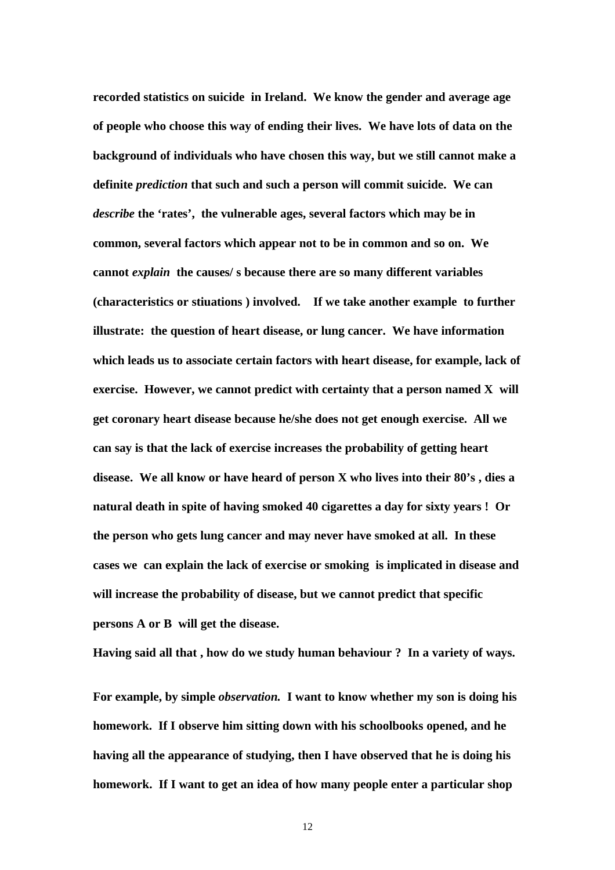**recorded statistics on suicide****in Ireland. We know the gender and average age of people who choose this way of ending their lives. We have lots of data on the background of individuals who have chosen this way, but we still cannot make a definite** *prediction* **that such and such a person will commit suicide. We can**  *describe* **the 'rates', the vulnerable ages, several factors which may be in common, several factors which appear not to be in common and so on. We cannot** *explain* **the causes/ s because there are so many different variables (characteristics or stiuations ) involved. If we take another example to further illustrate: the question of heart disease, or lung cancer. We have information which leads us to associate certain factors with heart disease, for example, lack of exercise. However, we cannot predict with certainty that a person named X will get coronary heart disease because he/she does not get enough exercise. All we can say is that the lack of exercise increases the probability of getting heart disease. We all know or have heard of person X who lives into their 80's , dies a natural death in spite of having smoked 40 cigarettes a day for sixty years ! Or the person who gets lung cancer and may never have smoked at all. In these cases we can explain the lack of exercise or smoking is implicated in disease and will increase the probability of disease, but we cannot predict that specific persons A or B will get the disease.**

**Having said all that , how do we study human behaviour ? In a variety of ways.**

**For example, by simple** *observation.* **I want to know whether my son is doing his homework. If I observe him sitting down with his schoolbooks opened, and he having all the appearance of studying, then I have observed that he is doing his homework. If I want to get an idea of how many people enter a particular shop** 

12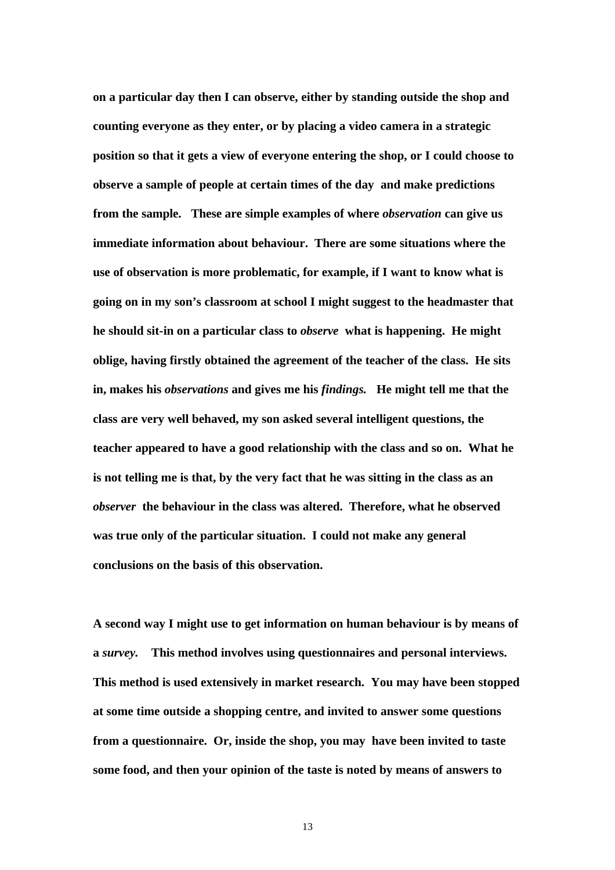**on a particular day then I can observe, either by standing outside the shop and counting everyone as they enter, or by placing a video camera in a strategic position so that it gets a view of everyone entering the shop, or I could choose to observe a sample of people at certain times of the day and make predictions from the sample. These are simple examples of where** *observation* **can give us immediate information about behaviour. There are some situations where the use of observation is more problematic, for example, if I want to know what is going on in my son's classroom at school I might suggest to the headmaster that he should sit-in on a particular class to** *observe* **what is happening. He might oblige, having firstly obtained the agreement of the teacher of the class. He sits in, makes his** *observations* **and gives me his** *findings.* **He might tell me that the class are very well behaved, my son asked several intelligent questions, the teacher appeared to have a good relationship with the class and so on. What he is not telling me is that, by the very fact that he was sitting in the class as an**  *observer* **the behaviour in the class was altered. Therefore, what he observed was true only of the particular situation. I could not make any general conclusions on the basis of this observation.**

**A second way I might use to get information on human behaviour is by means of a** *survey.* **This method involves using questionnaires and personal interviews. This method is used extensively in market research. You may have been stopped at some time outside a shopping centre, and invited to answer some questions from a questionnaire. Or, inside the shop, you may have been invited to taste some food, and then your opinion of the taste is noted by means of answers to** 

13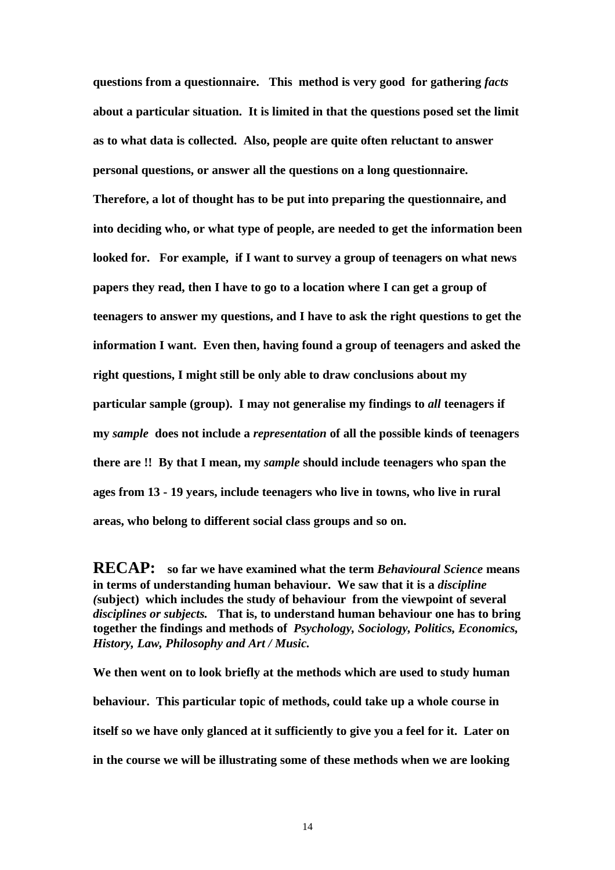**questions from a questionnaire. This method is very good for gathering** *facts*  **about a particular situation. It is limited in that the questions posed set the limit as to what data is collected. Also, people are quite often reluctant to answer personal questions, or answer all the questions on a long questionnaire. Therefore, a lot of thought has to be put into preparing the questionnaire, and into deciding who, or what type of people, are needed to get the information been looked for. For example, if I want to survey a group of teenagers on what news papers they read, then I have to go to a location where I can get a group of teenagers to answer my questions, and I have to ask the right questions to get the information I want. Even then, having found a group of teenagers and asked the right questions, I might still be only able to draw conclusions about my particular sample (group). I may not generalise my findings to** *all* **teenagers if my** *sample* **does not include a** *representation* **of all the possible kinds of teenagers there are !! By that I mean, my** *sample* **should include teenagers who span the ages from 13 - 19 years, include teenagers who live in towns, who live in rural areas, who belong to different social class groups and so on.** 

**RECAP: so far we have examined what the term** *Behavioural Science* **means in terms of understanding human behaviour. We saw that it is a** *discipline (***subject) which includes the study of behaviour from the viewpoint of several**  *disciplines or subjects.* **That is, to understand human behaviour one has to bring together the findings and methods of** *Psychology, Sociology, Politics, Economics, History, Law, Philosophy and Art / Music.* 

**We then went on to look briefly at the methods which are used to study human behaviour. This particular topic of methods, could take up a whole course in itself so we have only glanced at it sufficiently to give you a feel for it. Later on in the course we will be illustrating some of these methods when we are looking**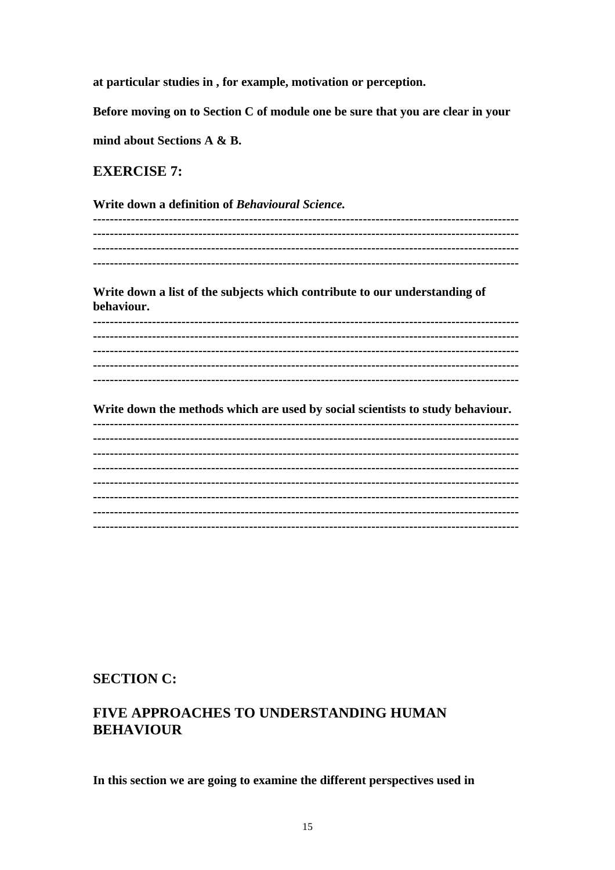at particular studies in , for example, motivation or perception.

Before moving on to Section C of module one be sure that you are clear in your

mind about Sections A & B.

## **EXERCISE 7:**

Write down a definition of Behavioural Science.

Write down a list of the subjects which contribute to our understanding of behaviour.

Write down the methods which are used by social scientists to study behaviour. 

## **SECTION C:**

## **FIVE APPROACHES TO UNDERSTANDING HUMAN BEHAVIOUR**

In this section we are going to examine the different perspectives used in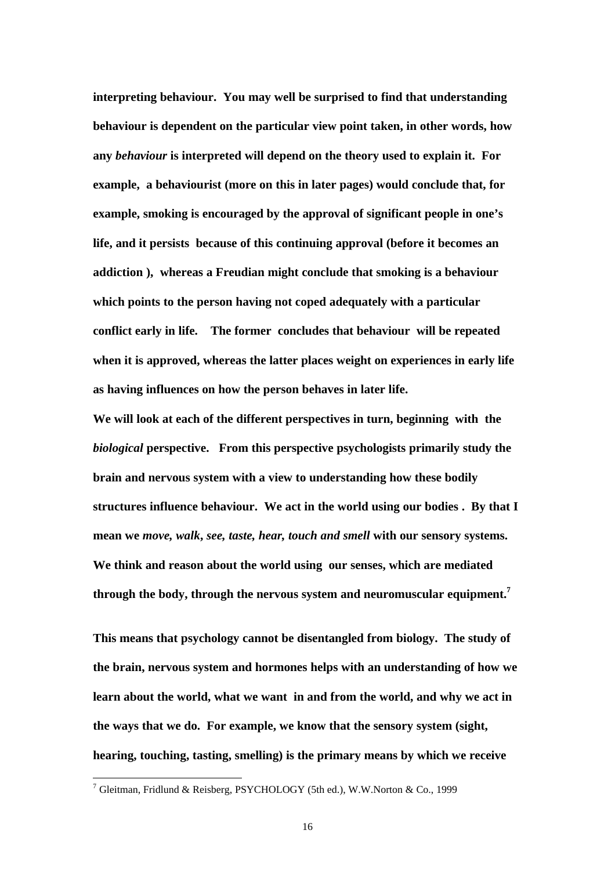**interpreting behaviour. You may well be surprised to find that understanding behaviour is dependent on the particular view point taken, in other words, how any** *behaviour* **is interpreted will depend on the theory used to explain it. For example, a behaviourist (more on this in later pages) would conclude that, for example, smoking is encouraged by the approval of significant people in one's life, and it persists because of this continuing approval (before it becomes an addiction ), whereas a Freudian might conclude that smoking is a behaviour which points to the person having not coped adequately with a particular conflict early in life. The former concludes that behaviour will be repeated when it is approved, whereas the latter places weight on experiences in early life as having influences on how the person behaves in later life.**

**We will look at each of the different perspectives in turn, beginning with the**  *biological* **perspective. From this perspective psychologists primarily study the brain and nervous system with a view to understanding how these bodily structures influence behaviour. We act in the world using our bodies . By that I mean we** *move, walk***,** *see, taste, hear, touch and smell* **with our sensory systems. We think and reason about the world using our senses, which are mediated through the body, through the nervous system and neuromuscular equipment.<sup>7</sup>**

**This means that psychology cannot be disentangled from biology. The study of the brain, nervous system and hormones helps with an understanding of how we learn about the world, what we want in and from the world, and why we act in the ways that we do. For example, we know that the sensory system (sight, hearing, touching, tasting, smelling) is the primary means by which we receive** 

 7 Gleitman, Fridlund & Reisberg, PSYCHOLOGY (5th ed.), W.W.Norton & Co., 1999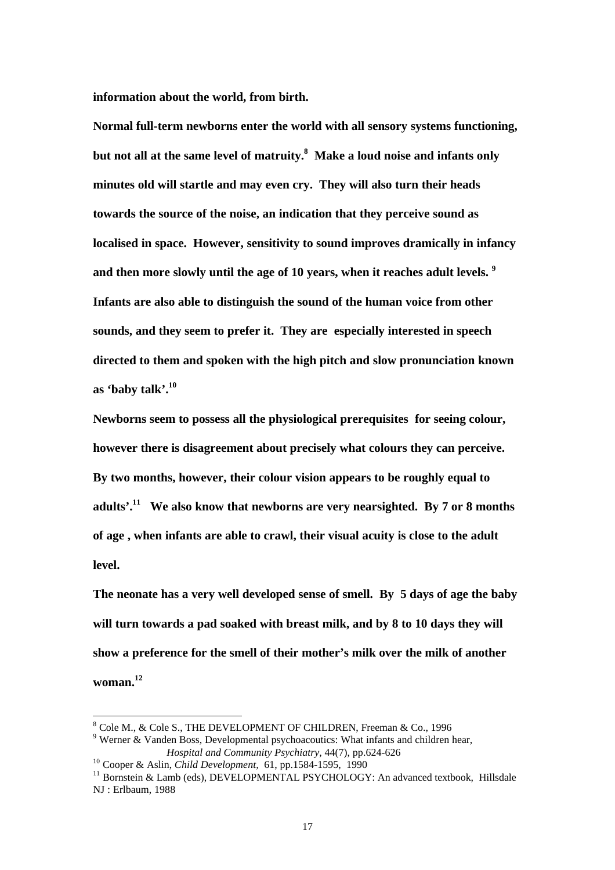**information about the world, from birth.**

**Normal full-term newborns enter the world with all sensory systems functioning, but not all at the same level of matruity.<sup>8</sup> Make a loud noise and infants only minutes old will startle and may even cry. They will also turn their heads towards the source of the noise, an indication that they perceive sound as localised in space. However, sensitivity to sound improves dramically in infancy and then more slowly until the age of 10 years, when it reaches adult levels. <sup>9</sup> Infants are also able to distinguish the sound of the human voice from other sounds, and they seem to prefer it. They are especially interested in speech directed to them and spoken with the high pitch and slow pronunciation known as 'baby talk'.<sup>10</sup>**

**Newborns seem to possess all the physiological prerequisites for seeing colour, however there is disagreement about precisely what colours they can perceive. By two months, however, their colour vision appears to be roughly equal to adults'.<sup>11</sup> We also know that newborns are very nearsighted. By 7 or 8 months of age , when infants are able to crawl, their visual acuity is close to the adult level.**

**The neonate has a very well developed sense of smell. By 5 days of age the baby will turn towards a pad soaked with breast milk, and by 8 to 10 days they will show a preference for the smell of their mother's milk over the milk of another woman.<sup>12</sup>**

 $8$  Cole M., & Cole S., THE DEVELOPMENT OF CHILDREN, Freeman & Co., 1996

 $9$  Werner & Vanden Boss, Developmental psychoacoutics: What infants and children hear, *Hospital and Community Psychiatry,* 44(7), pp.624-626

<sup>10</sup> Cooper & Aslin, *Child Development,* 61, pp.1584-1595, 1990

<sup>11</sup> Bornstein & Lamb (eds), DEVELOPMENTAL PSYCHOLOGY: An advanced textbook, Hillsdale NJ : Erlbaum, 1988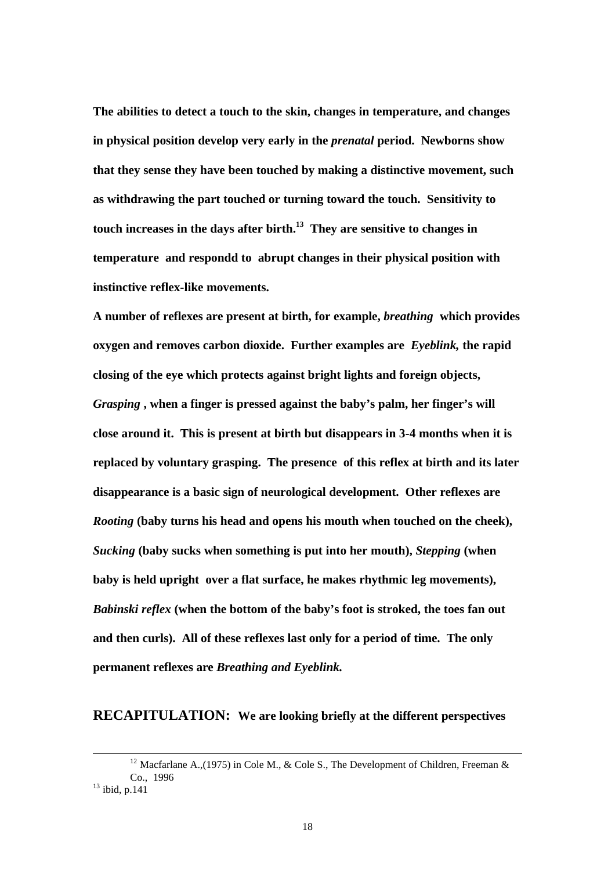**The abilities to detect a touch to the skin, changes in temperature, and changes in physical position develop very early in the** *prenatal* **period. Newborns show that they sense they have been touched by making a distinctive movement, such as withdrawing the part touched or turning toward the touch. Sensitivity to touch increases in the days after birth.<sup>13</sup> They are sensitive to changes in temperature and respondd to abrupt changes in their physical position with instinctive reflex-like movements.**

**A number of reflexes are present at birth, for example,** *breathing* **which provides oxygen and removes carbon dioxide. Further examples are** *Eyeblink,* **the rapid closing of the eye which protects against bright lights and foreign objects,**  *Grasping* **, when a finger is pressed against the baby's palm, her finger's will close around it. This is present at birth but disappears in 3-4 months when it is replaced by voluntary grasping. The presence of this reflex at birth and its later disappearance is a basic sign of neurological development. Other reflexes are**  *Rooting* **(baby turns his head and opens his mouth when touched on the cheek),**  *Sucking* **(baby sucks when something is put into her mouth),** *Stepping* **(when baby is held upright over a flat surface, he makes rhythmic leg movements),**  *Babinski reflex* **(when the bottom of the baby's foot is stroked, the toes fan out and then curls). All of these reflexes last only for a period of time. The only permanent reflexes are** *Breathing and Eyeblink.*

#### **RECAPITULATION: We are looking briefly at the different perspectives**

18

<sup>&</sup>lt;sup>12</sup> Macfarlane A.,(1975) in Cole M., & Cole S., The Development of Children, Freeman & Co., 1996  $13$  ibid, p.141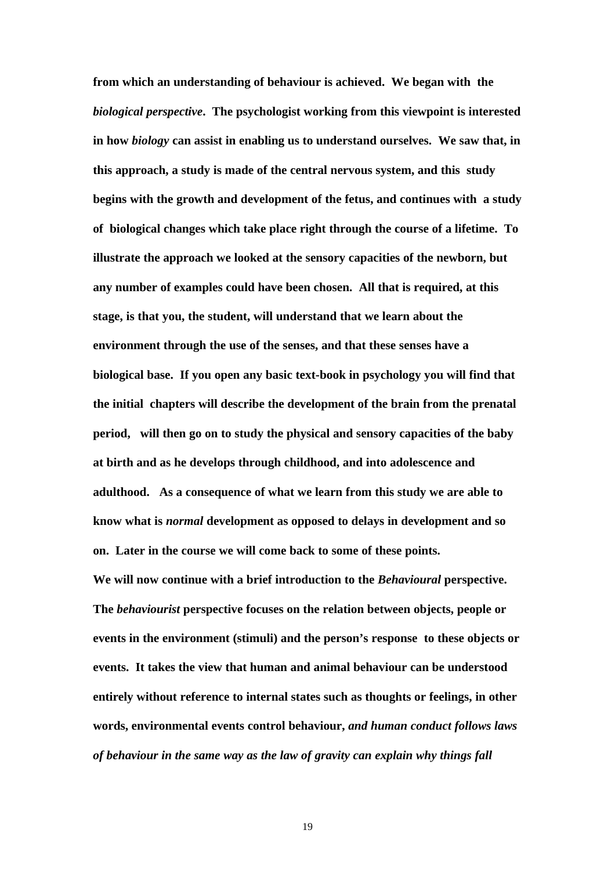**from which an understanding of behaviour is achieved. We began with the**  *biological perspective***. The psychologist working from this viewpoint is interested in how** *biology* **can assist in enabling us to understand ourselves. We saw that, in this approach, a study is made of the central nervous system, and this study begins with the growth and development of the fetus, and continues with a study of biological changes which take place right through the course of a lifetime. To illustrate the approach we looked at the sensory capacities of the newborn, but any number of examples could have been chosen. All that is required, at this stage, is that you, the student, will understand that we learn about the environment through the use of the senses, and that these senses have a biological base. If you open any basic text-book in psychology you will find that the initial chapters will describe the development of the brain from the prenatal period, will then go on to study the physical and sensory capacities of the baby at birth and as he develops through childhood, and into adolescence and adulthood. As a consequence of what we learn from this study we are able to know what is** *normal* **development as opposed to delays in development and so on. Later in the course we will come back to some of these points. We will now continue with a brief introduction to the** *Behavioural* **perspective. The** *behaviourist* **perspective focuses on the relation between objects, people or events in the environment (stimuli) and the person's response to these objects or events. It takes the view that human and animal behaviour can be understood entirely without reference to internal states such as thoughts or feelings, in other words, environmental events control behaviour,** *and human conduct follows laws of behaviour in the same way as the law of gravity can explain why things fall* 

19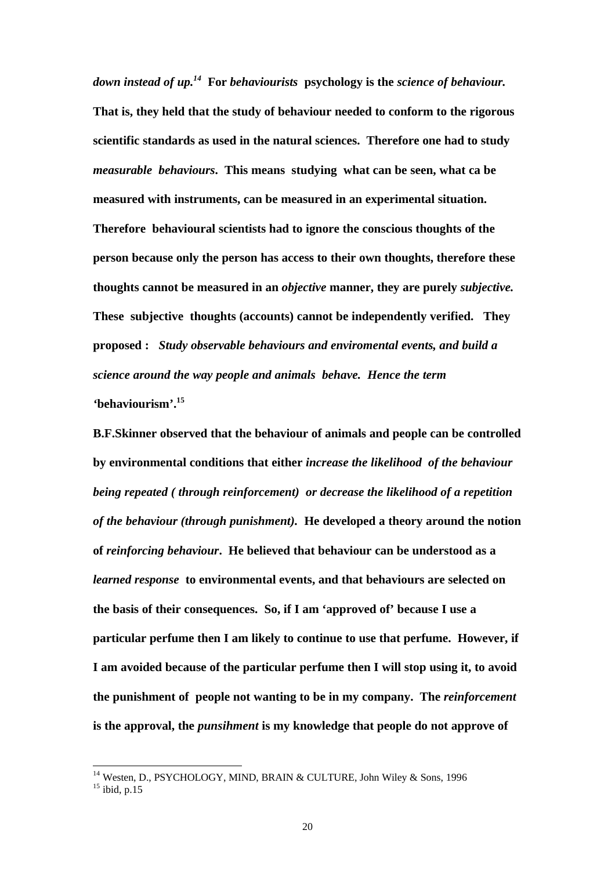*down instead of up.<sup>14</sup>* **For** *behaviourists* **psychology is the** *science of behaviour.* **That is, they held that the study of behaviour needed to conform to the rigorous scientific standards as used in the natural sciences. Therefore one had to study**  *measurable behaviours***. This means studying what can be seen, what ca be measured with instruments, can be measured in an experimental situation. Therefore behavioural scientists had to ignore the conscious thoughts of the person because only the person has access to their own thoughts, therefore these thoughts cannot be measured in an** *objective* **manner, they are purely** *subjective.*  **These subjective thoughts (accounts) cannot be independently verified. They proposed :** *Study observable behaviours and enviromental events, and build a science around the way people and animals behave. Hence the term '***behaviourism'.<sup>15</sup>** 

**B.F.Skinner observed that the behaviour of animals and people can be controlled by environmental conditions that either** *increase the likelihood of the behaviour being repeated ( through reinforcement) or decrease the likelihood of a repetition of the behaviour (through punishment).* **He developed a theory around the notion of** *reinforcing behaviour***. He believed that behaviour can be understood as a**  *learned response* **to environmental events, and that behaviours are selected on the basis of their consequences. So, if I am 'approved of' because I use a particular perfume then I am likely to continue to use that perfume. However, if I am avoided because of the particular perfume then I will stop using it, to avoid the punishment of people not wanting to be in my company. The** *reinforcement*  **is the approval, the** *punsihment* **is my knowledge that people do not approve of** 

<sup>&</sup>lt;sup>14</sup> Westen, D., PSYCHOLOGY, MIND, BRAIN & CULTURE, John Wiley & Sons, 1996  $^{15}$  ibid, p.15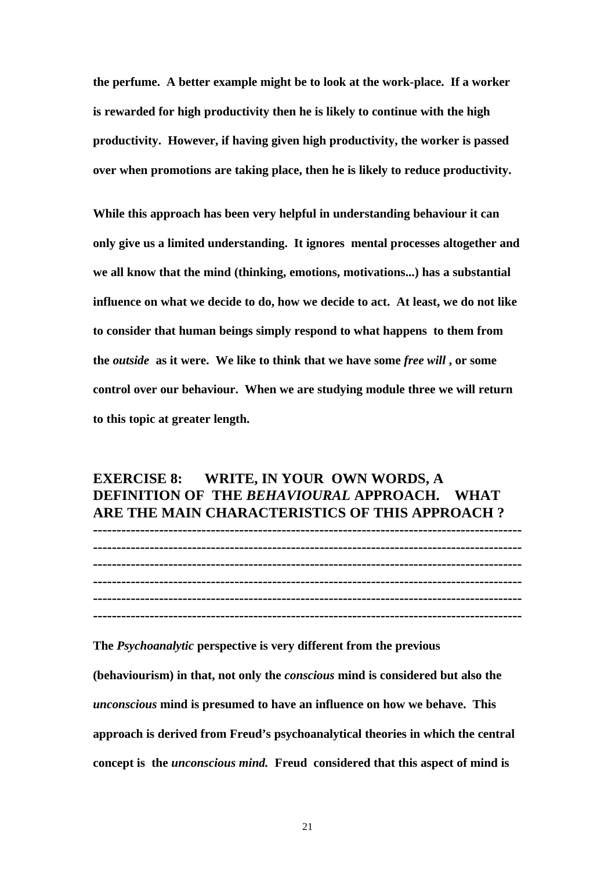**the perfume. A better example might be to look at the work-place. If a worker is rewarded for high productivity then he is likely to continue with the high productivity. However, if having given high productivity, the worker is passed over when promotions are taking place, then he is likely to reduce productivity.** 

**While this approach has been very helpful in understanding behaviour it can only give us a limited understanding. It ignores mental processes altogether and we all know that the mind (thinking, emotions, motivations...) has a substantial influence on what we decide to do, how we decide to act. At least, we do not like to consider that human beings simply respond to what happens to them from the** *outside* **as it were. We like to think that we have some** *free will* **, or some control over our behaviour. When we are studying module three we will return to this topic at greater length.**

## **EXERCISE 8: WRITE, IN YOUR OWN WORDS, A DEFINITION OF THE** *BEHAVIOURAL* **APPROACH. WHAT ARE THE MAIN CHARACTERISTICS OF THIS APPROACH ?**

**------------------------------------------------------------------------------------------- ------------------------------------------------------------------------------------------- ------------------------------------------------------------------------------------------- ------------------------------------------------------------------------------------------- -------------------------------------------------------------------------------------------**

**-------------------------------------------------------------------------------------------**

**The** *Psychoanalytic* **perspective is very different from the previous** 

**(behaviourism) in that, not only the** *conscious* **mind is considered but also the**  *unconscious* **mind is presumed to have an influence on how we behave. This approach is derived from Freud's psychoanalytical theories in which the central concept is the** *unconscious mind.* **Freud considered that this aspect of mind is**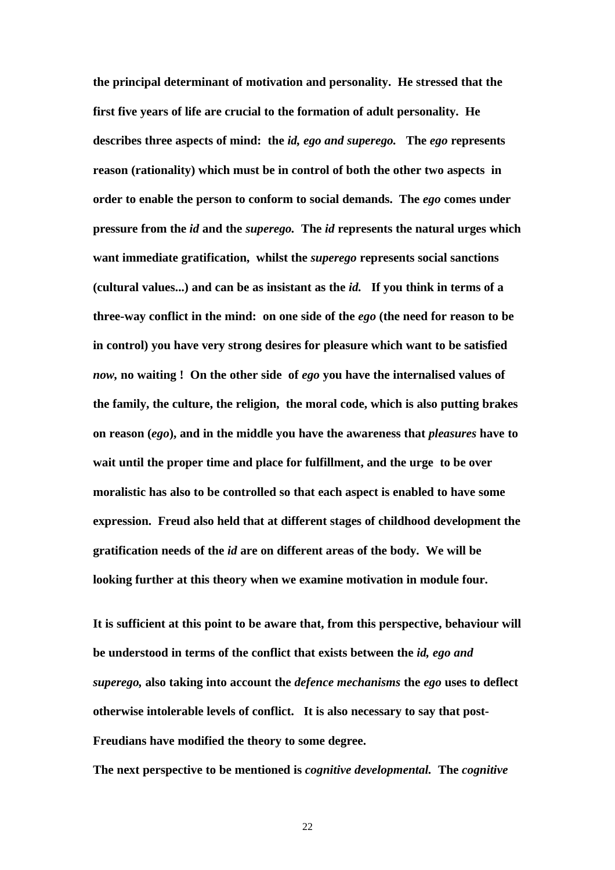**the principal determinant of motivation and personality. He stressed that the first five years of life are crucial to the formation of adult personality. He describes three aspects of mind: the** *id, ego and superego.* **The** *ego* **represents reason (rationality) which must be in control of both the other two aspects in order to enable the person to conform to social demands. The** *ego* **comes under pressure from the** *id* **and the** *superego.* **The** *id* **represents the natural urges which want immediate gratification, whilst the** *superego* **represents social sanctions (cultural values...) and can be as insistant as the** *id.* **If you think in terms of a three-way conflict in the mind: on one side of the** *ego* **(the need for reason to be in control) you have very strong desires for pleasure which want to be satisfied**  *now,* **no waiting ! On the other side of** *ego* **you have the internalised values of the family, the culture, the religion, the moral code, which is also putting brakes on reason (***ego***), and in the middle you have the awareness that** *pleasures* **have to wait until the proper time and place for fulfillment, and the urge to be over moralistic has also to be controlled so that each aspect is enabled to have some expression. Freud also held that at different stages of childhood development the gratification needs of the** *id* **are on different areas of the body. We will be looking further at this theory when we examine motivation in module four.** 

**It is sufficient at this point to be aware that, from this perspective, behaviour will be understood in terms of the conflict that exists between the** *id, ego and superego,* **also taking into account the** *defence mechanisms* **the** *ego* **uses to deflect otherwise intolerable levels of conflict. It is also necessary to say that post-Freudians have modified the theory to some degree.**

**The next perspective to be mentioned is** *cognitive developmental.* **The** *cognitive*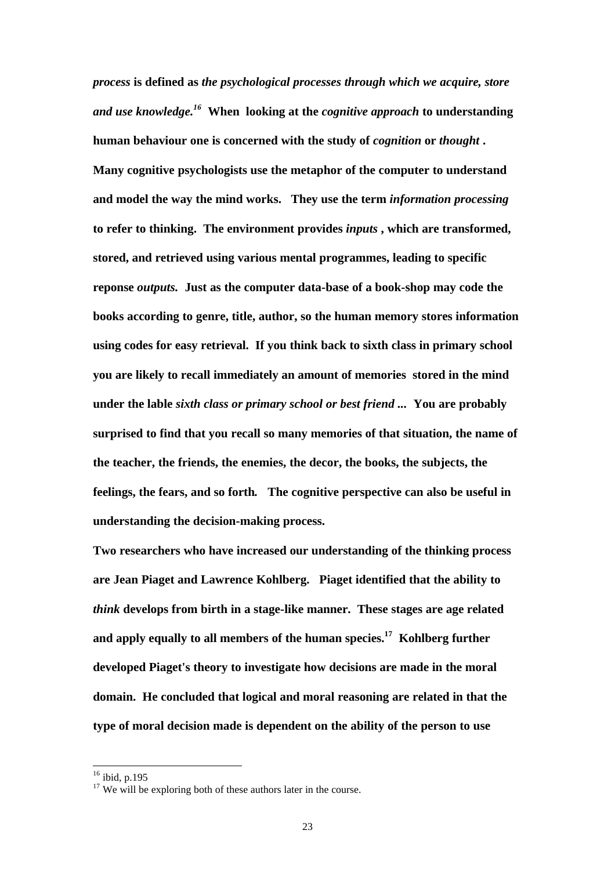*process* **is defined as** *the psychological processes through which we acquire, store and use knowledge.<sup>16</sup>* **When looking at the** *cognitive approach* **to understanding human behaviour one is concerned with the study of** *cognition* **or** *thought* **. Many cognitive psychologists use the metaphor of the computer to understand and model the way the mind works. They use the term** *information processing*  **to refer to thinking. The environment provides** *inputs* **, which are transformed, stored, and retrieved using various mental programmes, leading to specific reponse** *outputs.* **Just as the computer data-base of a book-shop may code the books according to genre, title, author, so the human memory stores information using codes for easy retrieval. If you think back to sixth class in primary school you are likely to recall immediately an amount of memories stored in the mind under the lable** *sixth class or primary school or best friend ...* **You are probably surprised to find that you recall so many memories of that situation, the name of the teacher, the friends, the enemies, the decor, the books, the subjects, the feelings, the fears, and so forth***.* **The cognitive perspective can also be useful in understanding the decision-making process.** 

**Two researchers who have increased our understanding of the thinking process are Jean Piaget and Lawrence Kohlberg. Piaget identified that the ability to**  *think* **develops from birth in a stage-like manner. These stages are age related and apply equally to all members of the human species.<sup>17</sup> Kohlberg further developed Piaget's theory to investigate how decisions are made in the moral domain. He concluded that logical and moral reasoning are related in that the type of moral decision made is dependent on the ability of the person to use** 

 $16$  ibid, p.195

 $17$  We will be exploring both of these authors later in the course.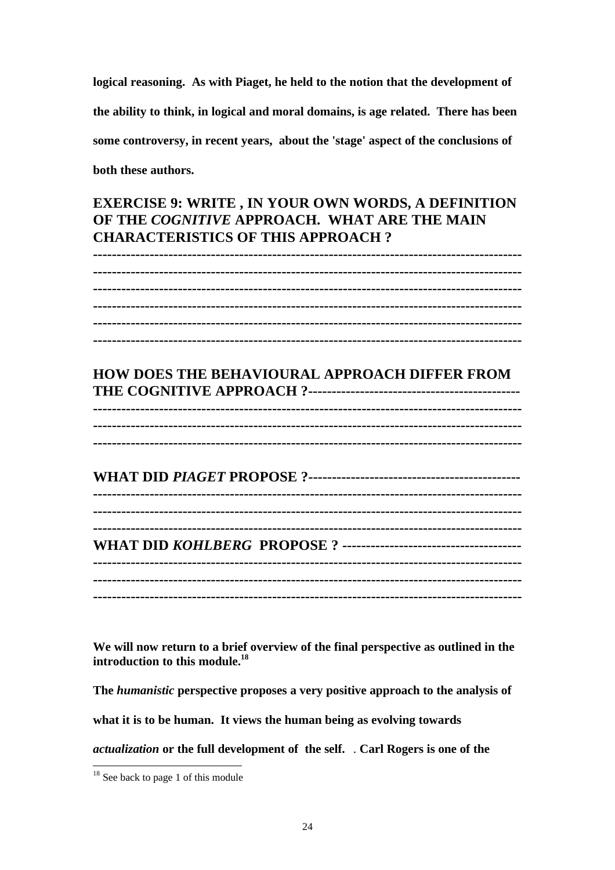**logical reasoning. As with Piaget, he held to the notion that the development of the ability to think, in logical and moral domains, is age related. There has been some controversy, in recent years, about the 'stage' aspect of the conclusions of both these authors.**

## **EXERCISE 9: WRITE , IN YOUR OWN WORDS, A DEFINITION OF THE** *COGNITIVE* **APPROACH. WHAT ARE THE MAIN CHARACTERISTICS OF THIS APPROACH ?**

**------------------------------------------------------------------------------------------- ------------------------------------------------------------------------------------------- ------------------------------------------------------------------------------------------- ------------------------------------------------------------------------------------------- ------------------------------------------------------------------------------------------- ------------------------------------------------------------------------------------------- HOW DOES THE BEHAVIOURAL APPROACH DIFFER FROM THE COGNITIVE APPROACH ?--------------------------------------------- ------------------------------------------------------------------------------------------- ------------------------------------------------------------------------------------------- ------------------------------------------------------------------------------------------- WHAT DID** *PIAGET* **PROPOSE ?--------------------------------------------- ------------------------------------------------------------------------------------------- ------------------------------------------------------------------------------------------- ------------------------------------------------------------------------------------------- WHAT DID** *KOHLBERG* **PROPOSE ? -------------------------------------- ------------------------------------------------------------------------------------------- ------------------------------------------------------------------------------------------- -------------------------------------------------------------------------------------------**

**We will now return to a brief overview of the final perspective as outlined in the introduction to this module.<sup>18</sup>**

**The** *humanistic* **perspective proposes a very positive approach to the analysis of** 

**what it is to be human. It views the human being as evolving towards** 

*actualization* **or the full development of the self.** . **Carl Rogers is one of the** 

 $18$  See back to page 1 of this module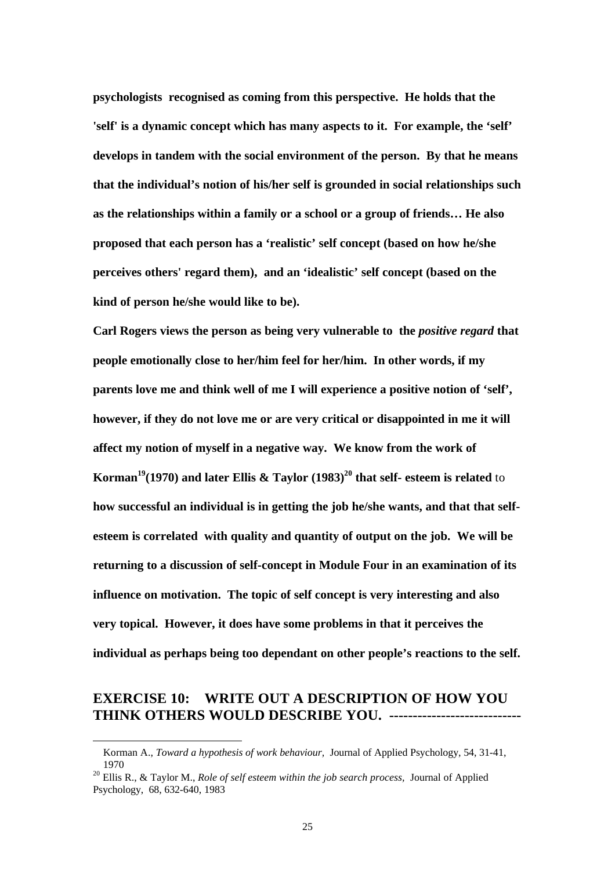**psychologists recognised as coming from this perspective. He holds that the 'self' is a dynamic concept which has many aspects to it. For example, the 'self' develops in tandem with the social environment of the person. By that he means that the individual's notion of his/her self is grounded in social relationships such as the relationships within a family or a school or a group of friends… He also proposed that each person has a 'realistic' self concept (based on how he/she perceives others' regard them), and an 'idealistic' self concept (based on the kind of person he/she would like to be).** 

Carl Rogers views the person as being very vulnerable to the *positive regard* that **people emotionally close to her/him feel for her/him. In other words, if my parents love me and think well of me I will experience a positive notion of 'self', however, if they do not love me or are very critical or disappointed in me it will affect my notion of myself in a negative way. We know from the work of Korman<sup>19</sup>(1970) and later Ellis & Taylor (1983)<sup>20</sup> that self- esteem is related** to **how successful an individual is in getting the job he/she wants, and that that selfesteem is correlated with quality and quantity of output on the job. We will be returning to a discussion of self-concept in Module Four in an examination of its influence on motivation. The topic of self concept is very interesting and also very topical. However, it does have some problems in that it perceives the individual as perhaps being too dependant on other people's reactions to the self.**

## **EXERCISE 10: WRITE OUT A DESCRIPTION OF HOW YOU THINK OTHERS WOULD DESCRIBE YOU. -----------------------------**

Korman A., *Toward a hypothesis of work behaviour,* Journal of Applied Psychology, 54, 31-41, 1970

<sup>20</sup> Ellis R., & Taylor M., *Role of self esteem within the job search process,* Journal of Applied Psychology, 68, 632-640, 1983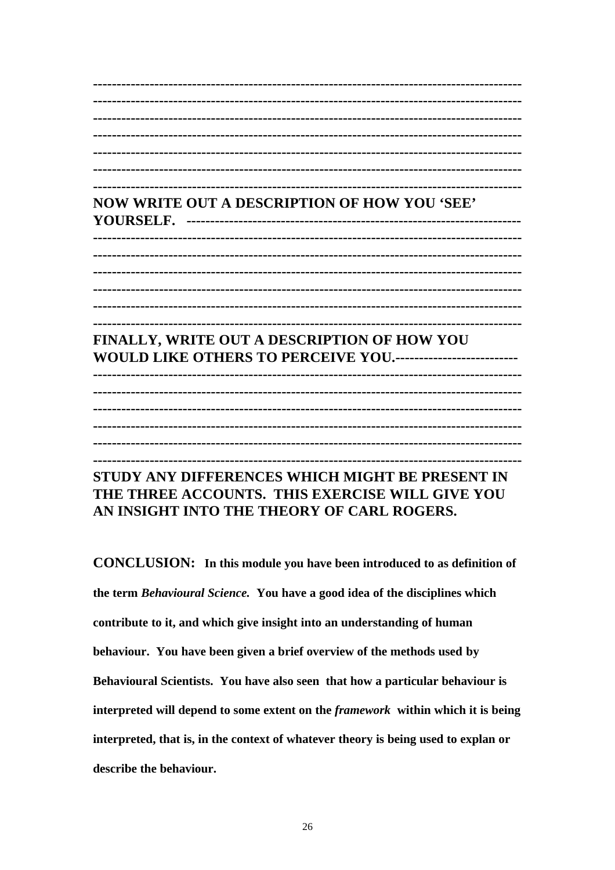**NOW WRITE OUT A DESCRIPTION OF HOW YOU 'SEE' FINALLY. WRITE OUT A DESCRIPTION OF HOW YOU** WOULD LIKE OTHERS TO PERCEIVE YOU............................ STUDY ANY DIFFERENCES WHICH MIGHT BE PRESENT IN THE THREE ACCOUNTS. THIS EXERCISE WILL GIVE YOU

AN INSIGHT INTO THE THEORY OF CARL ROGERS.

**CONCLUSION:** In this module you have been introduced to as definition of the term Behavioural Science. You have a good idea of the disciplines which contribute to it, and which give insight into an understanding of human behaviour. You have been given a brief overview of the methods used by Behavioural Scientists. You have also seen that how a particular behaviour is interpreted will depend to some extent on the *framework* within which it is being interpreted, that is, in the context of whatever theory is being used to explan or describe the behaviour.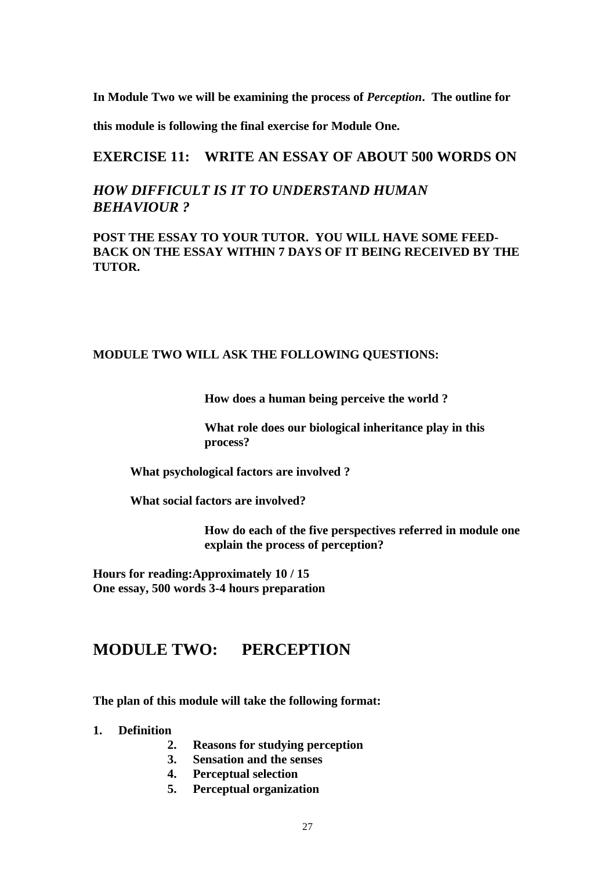**In Module Two we will be examining the process of** *Perception***. The outline for** 

**this module is following the final exercise for Module One.**

### **EXERCISE 11: WRITE AN ESSAY OF ABOUT 500 WORDS ON**

## *HOW DIFFICULT IS IT TO UNDERSTAND HUMAN BEHAVIOUR ?*

### **POST THE ESSAY TO YOUR TUTOR. YOU WILL HAVE SOME FEED-BACK ON THE ESSAY WITHIN 7 DAYS OF IT BEING RECEIVED BY THE TUTOR.**

#### **MODULE TWO WILL ASK THE FOLLOWING QUESTIONS:**

**How does a human being perceive the world ?**

**What role does our biological inheritance play in this process?**

**What psychological factors are involved ?**

**What social factors are involved?** 

**How do each of the five perspectives referred in module one explain the process of perception?**

**Hours for reading:Approximately 10 / 15 One essay, 500 words 3-4 hours preparation**

## **MODULE TWO: PERCEPTION**

**The plan of this module will take the following format:**

**1. Definition**

- **2. Reasons for studying perception**
- **3. Sensation and the senses**
- **4. Perceptual selection**
- **5. Perceptual organization**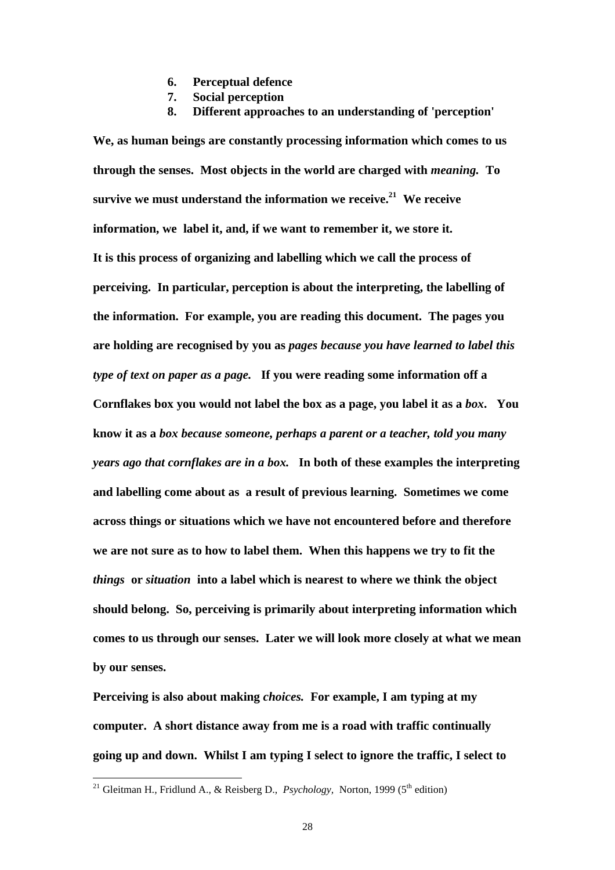- **6. Perceptual defence**
- **7. Social perception**
- **8. Different approaches to an understanding of 'perception'**

**We, as human beings are constantly processing information which comes to us through the senses. Most objects in the world are charged with** *meaning.* **To survive we must understand the information we receive.<sup>21</sup> We receive information, we label it, and, if we want to remember it, we store it. It is this process of organizing and labelling which we call the process of perceiving. In particular, perception is about the interpreting, the labelling of the information. For example, you are reading this document. The pages you are holding are recognised by you as** *pages because you have learned to label this type of text on paper as a page.* **If you were reading some information off a Cornflakes box you would not label the box as a page, you label it as a** *box***. You know it as a** *box because someone, perhaps a parent or a teacher, told you many years ago that cornflakes are in a box.* **In both of these examples the interpreting and labelling come about as a result of previous learning. Sometimes we come across things or situations which we have not encountered before and therefore we are not sure as to how to label them. When this happens we try to fit the**  *things* **or** *situation* **into a label which is nearest to where we think the object should belong. So, perceiving is primarily about interpreting information which comes to us through our senses. Later we will look more closely at what we mean by our senses.** 

**Perceiving is also about making** *choices.* **For example, I am typing at my computer. A short distance away from me is a road with traffic continually going up and down. Whilst I am typing I select to ignore the traffic, I select to** 

<sup>&</sup>lt;sup>21</sup> Gleitman H., Fridlund A., & Reisberg D., *Psychology*, Norton, 1999 (5<sup>th</sup> edition)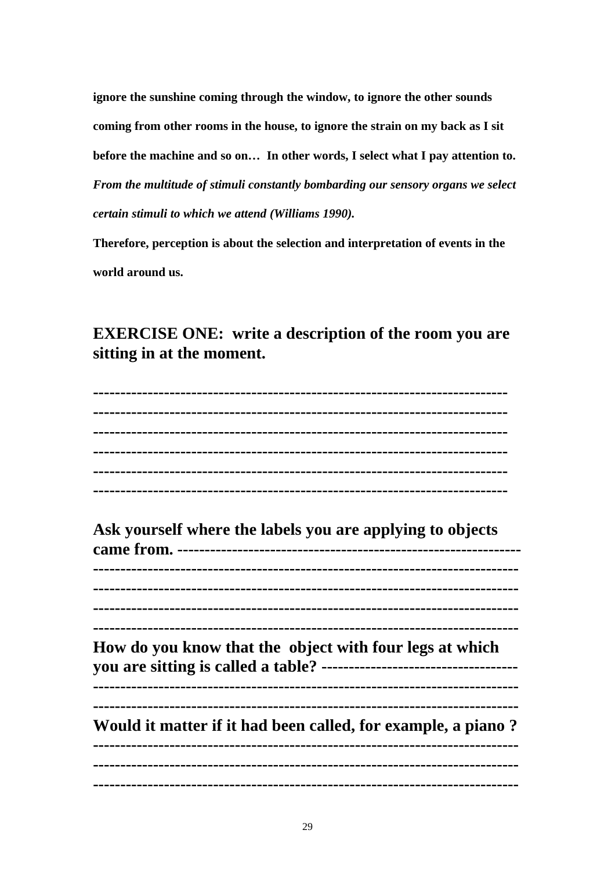**ignore the sunshine coming through the window, to ignore the other sounds coming from other rooms in the house, to ignore the strain on my back as I sit before the machine and so on… In other words, I select what I pay attention to.** *From the multitude of stimuli constantly bombarding our sensory organs we select certain stimuli to which we attend (Williams 1990).* 

**Therefore, perception is about the selection and interpretation of events in the world around us.**

## **EXERCISE ONE: write a description of the room you are sitting in at the moment.**

| Ask yourself where the labels you are applying to objects                                                             |
|-----------------------------------------------------------------------------------------------------------------------|
|                                                                                                                       |
|                                                                                                                       |
|                                                                                                                       |
|                                                                                                                       |
| How do you know that the object with four legs at which                                                               |
|                                                                                                                       |
|                                                                                                                       |
| Would it matter if it had been called, for example, a piano?<br>------------------<br>------------------------------- |
|                                                                                                                       |
| -------------------------------------                                                                                 |
|                                                                                                                       |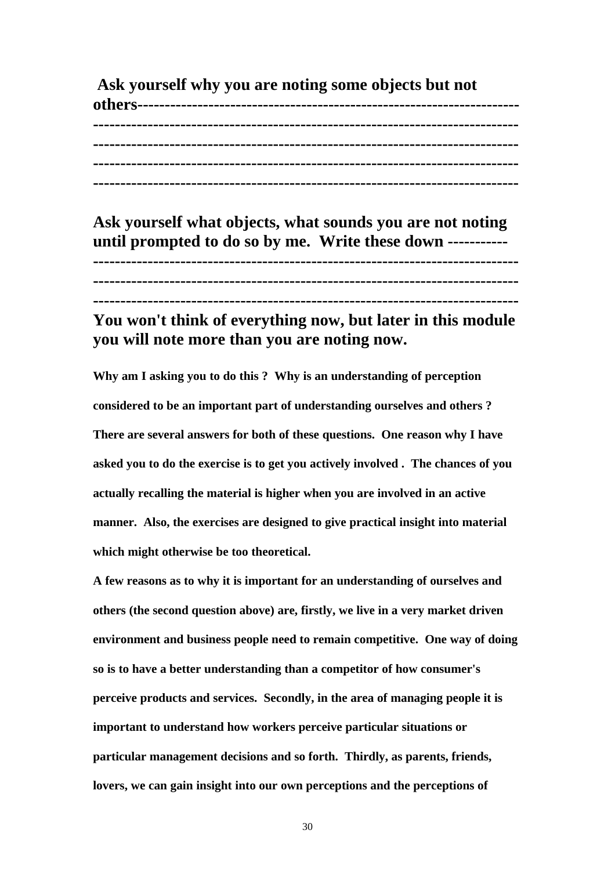**Ask yourself why you are noting some objects but not others---------------------------------------------------------------------- ------------------------------------------------------------------------------ ------------------------------------------------------------------------------ ------------------------------------------------------------------------------ ------------------------------------------------------------------------------** 

**Ask yourself what objects, what sounds you are not noting until prompted to do so by me. Write these down ----------- ------------------------------------------------------------------------------ ------------------------------------------------------------------------------ ------------------------------------------------------------------------------**

## **You won't think of everything now, but later in this module you will note more than you are noting now.**

**Why am I asking you to do this ? Why is an understanding of perception considered to be an important part of understanding ourselves and others ? There are several answers for both of these questions. One reason why I have asked you to do the exercise is to get you actively involved . The chances of you actually recalling the material is higher when you are involved in an active manner. Also, the exercises are designed to give practical insight into material which might otherwise be too theoretical.**

**A few reasons as to why it is important for an understanding of ourselves and others (the second question above) are, firstly, we live in a very market driven environment and business people need to remain competitive. One way of doing so is to have a better understanding than a competitor of how consumer's perceive products and services. Secondly, in the area of managing people it is important to understand how workers perceive particular situations or particular management decisions and so forth. Thirdly, as parents, friends, lovers, we can gain insight into our own perceptions and the perceptions of** 

30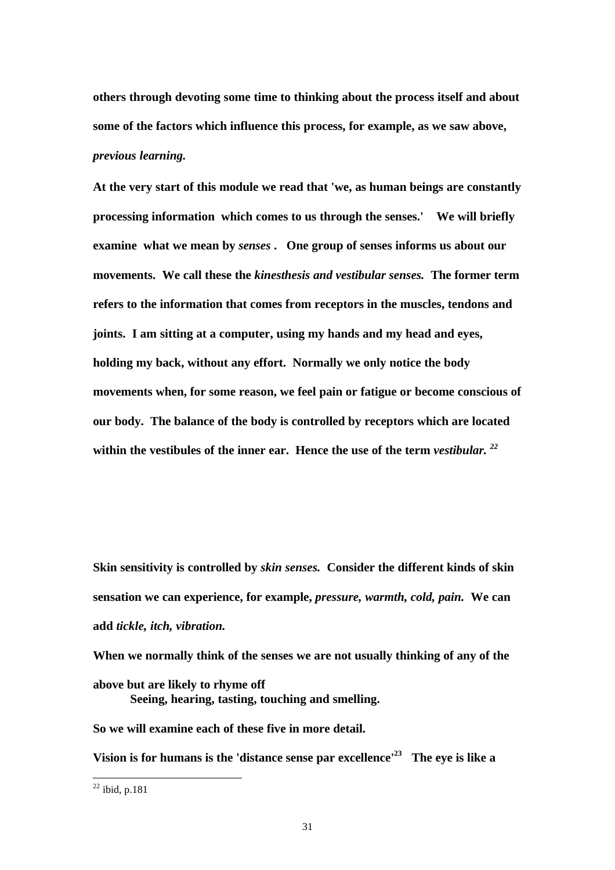**others through devoting some time to thinking about the process itself and about some of the factors which influence this process, for example, as we saw above,**  *previous learning.*

**At the very start of this module we read that 'we, as human beings are constantly processing information which comes to us through the senses.' We will briefly examine what we mean by** *senses* **. One group of senses informs us about our movements. We call these the** *kinesthesis and vestibular senses.* **The former term refers to the information that comes from receptors in the muscles, tendons and joints. I am sitting at a computer, using my hands and my head and eyes, holding my back, without any effort. Normally we only notice the body movements when, for some reason, we feel pain or fatigue or become conscious of our body. The balance of the body is controlled by receptors which are located within the vestibules of the inner ear. Hence the use of the term** *vestibular. <sup>22</sup>*

**Skin sensitivity is controlled by** *skin senses.* **Consider the different kinds of skin sensation we can experience, for example,** *pressure, warmth, cold, pain.* **We can add** *tickle, itch, vibration.* 

**When we normally think of the senses we are not usually thinking of any of the above but are likely to rhyme off Seeing, hearing, tasting, touching and smelling.** 

**So we will examine each of these five in more detail.** 

**Vision is for humans is the 'distance sense par excellence'<sup>23</sup> The eye is like a** 

 $22$  ibid, p.181